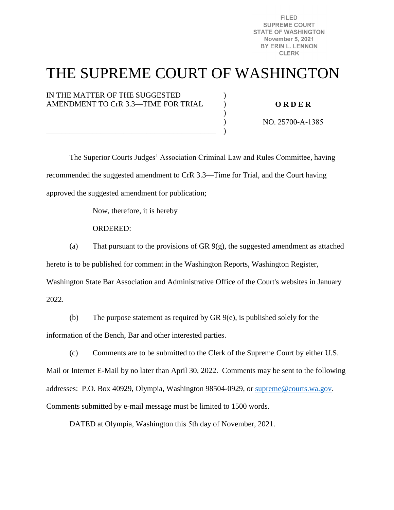FII FD **SUPREME COURT STATE OF WASHINGTON November 5, 2021** BY ERIN L. LENNON **CLERK** 

# THE SUPREME COURT OF WASHINGTON

)  $\lambda$ )  $\mathcal{L}$ )

IN THE MATTER OF THE SUGGESTED AMENDMENT TO CrR 3.3—TIME FOR TRIAL

\_\_\_\_\_\_\_\_\_\_\_\_\_\_\_\_\_\_\_\_\_\_\_\_\_\_\_\_\_\_\_\_\_\_\_\_\_\_\_\_\_\_\_\_

#### **O R D E R**

NO. 25700-A-1385

 The Superior Courts Judges' Association Criminal Law and Rules Committee, having recommended the suggested amendment to CrR 3.3—Time for Trial, and the Court having approved the suggested amendment for publication;

Now, therefore, it is hereby

ORDERED:

(a) That pursuant to the provisions of GR  $9(g)$ , the suggested amendment as attached hereto is to be published for comment in the Washington Reports, Washington Register, Washington State Bar Association and Administrative Office of the Court's websites in January 2022.

(b) The purpose statement as required by GR 9(e), is published solely for the information of the Bench, Bar and other interested parties.

(c) Comments are to be submitted to the Clerk of the Supreme Court by either U.S. Mail or Internet E-Mail by no later than April 30, 2022. Comments may be sent to the following addresses: P.O. Box 40929, Olympia, Washington 98504-0929, or [supreme@courts.wa.gov.](mailto:supreme@courts.wa.gov) Comments submitted by e-mail message must be limited to 1500 words.

DATED at Olympia, Washington this 5th day of November, 2021.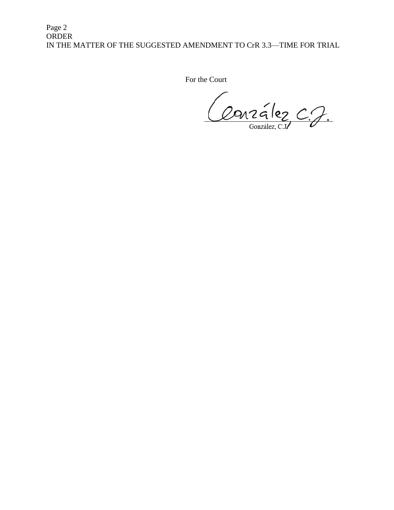Page 2 ORDER IN THE MATTER OF THE SUGGESTED AMENDMENT TO CrR 3.3—TIME FOR TRIAL

For the Court

Conzález C.J.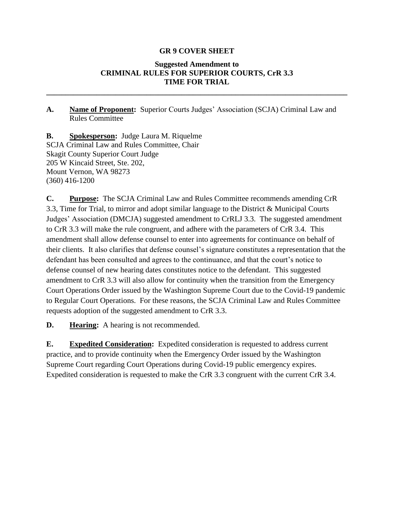#### **GR 9 COVER SHEET**

### **Suggested Amendment to CRIMINAL RULES FOR SUPERIOR COURTS, CrR 3.3 TIME FOR TRIAL**

**\_\_\_\_\_\_\_\_\_\_\_\_\_\_\_\_\_\_\_\_\_\_\_\_\_\_\_\_\_\_\_\_\_\_\_\_\_\_\_\_\_\_\_\_\_\_\_\_\_\_\_\_\_\_\_\_\_\_\_\_\_\_\_\_\_\_\_\_\_\_\_\_\_\_\_\_\_\_**

**A. Name of Proponent:** Superior Courts Judges' Association (SCJA) Criminal Law and Rules Committee

**B. Spokesperson:** Judge Laura M. Riquelme SCJA Criminal Law and Rules Committee, Chair Skagit County Superior Court Judge 205 W Kincaid Street, Ste. 202, Mount Vernon, WA 98273 (360) 416-1200

**C. Purpose:** The SCJA Criminal Law and Rules Committee recommends amending CrR 3.3, Time for Trial, to mirror and adopt similar language to the District & Municipal Courts Judges' Association (DMCJA) suggested amendment to CrRLJ 3.3. The suggested amendment to CrR 3.3 will make the rule congruent, and adhere with the parameters of CrR 3.4. This amendment shall allow defense counsel to enter into agreements for continuance on behalf of their clients. It also clarifies that defense counsel's signature constitutes a representation that the defendant has been consulted and agrees to the continuance, and that the court's notice to defense counsel of new hearing dates constitutes notice to the defendant. This suggested amendment to CrR 3.3 will also allow for continuity when the transition from the Emergency Court Operations Order issued by the Washington Supreme Court due to the Covid-19 pandemic to Regular Court Operations. For these reasons, the SCJA Criminal Law and Rules Committee requests adoption of the suggested amendment to CrR 3.3.

**D. Hearing:** A hearing is not recommended.

**E. Expedited Consideration:** Expedited consideration is requested to address current practice, and to provide continuity when the Emergency Order issued by the Washington Supreme Court regarding Court Operations during Covid-19 public emergency expires. Expedited consideration is requested to make the CrR 3.3 congruent with the current CrR 3.4.